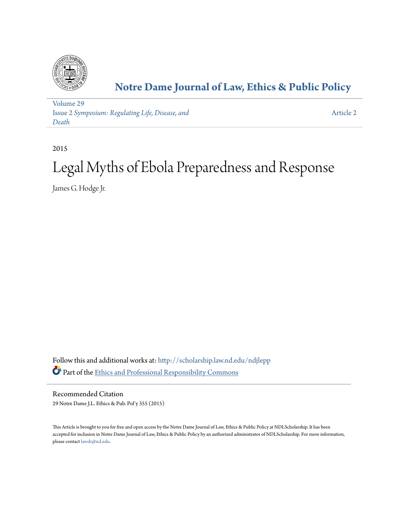

# **[Notre Dame Journal of Law, Ethics & Public Policy](http://scholarship.law.nd.edu/ndjlepp?utm_source=scholarship.law.nd.edu%2Fndjlepp%2Fvol29%2Fiss2%2F2&utm_medium=PDF&utm_campaign=PDFCoverPages)**

[Volume 29](http://scholarship.law.nd.edu/ndjlepp/vol29?utm_source=scholarship.law.nd.edu%2Fndjlepp%2Fvol29%2Fiss2%2F2&utm_medium=PDF&utm_campaign=PDFCoverPages) Issue 2 *[Symposium: Regulating Life, Disease, and](http://scholarship.law.nd.edu/ndjlepp/vol29/iss2?utm_source=scholarship.law.nd.edu%2Fndjlepp%2Fvol29%2Fiss2%2F2&utm_medium=PDF&utm_campaign=PDFCoverPages) [Death](http://scholarship.law.nd.edu/ndjlepp/vol29/iss2?utm_source=scholarship.law.nd.edu%2Fndjlepp%2Fvol29%2Fiss2%2F2&utm_medium=PDF&utm_campaign=PDFCoverPages)*

[Article 2](http://scholarship.law.nd.edu/ndjlepp/vol29/iss2/2?utm_source=scholarship.law.nd.edu%2Fndjlepp%2Fvol29%2Fiss2%2F2&utm_medium=PDF&utm_campaign=PDFCoverPages)

2015

# Legal Myths of Ebola Preparedness and Response

James G. Hodge Jr.

Follow this and additional works at: [http://scholarship.law.nd.edu/ndjlepp](http://scholarship.law.nd.edu/ndjlepp?utm_source=scholarship.law.nd.edu%2Fndjlepp%2Fvol29%2Fiss2%2F2&utm_medium=PDF&utm_campaign=PDFCoverPages) Part of the [Ethics and Professional Responsibility Commons](http://network.bepress.com/hgg/discipline/895?utm_source=scholarship.law.nd.edu%2Fndjlepp%2Fvol29%2Fiss2%2F2&utm_medium=PDF&utm_campaign=PDFCoverPages)

Recommended Citation 29 Notre Dame J.L. Ethics & Pub. Pol'y 355 (2015)

This Article is brought to you for free and open access by the Notre Dame Journal of Law, Ethics & Public Policy at NDLScholarship. It has been accepted for inclusion in Notre Dame Journal of Law, Ethics & Public Policy by an authorized administrator of NDLScholarship. For more information, please contact [lawdr@nd.edu](mailto:lawdr@nd.edu).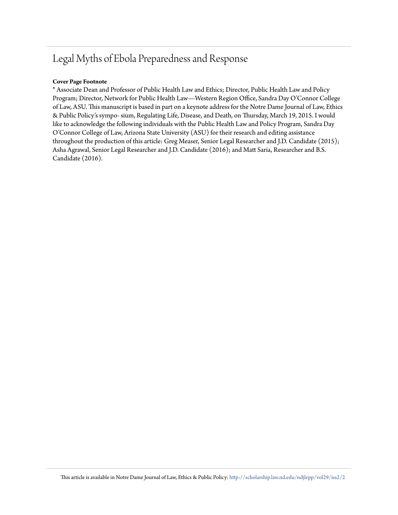# Legal Myths of Ebola Preparedness and Response

# **Cover Page Footnote**

\* Associate Dean and Professor of Public Health Law and Ethics; Director, Public Health Law and Policy Program; Director, Network for Public Health Law—Western Region Office, Sandra Day O'Connor College of Law, ASU. This manuscript is based in part on a keynote address for the Notre Dame Journal of Law, Ethics & Public Policy's sympo- sium, Regulating Life, Disease, and Death, on Thursday, March 19, 2015. I would like to acknowledge the following individuals with the Public Health Law and Policy Program, Sandra Day O'Connor College of Law, Arizona State University (ASU) for their research and editing assistance throughout the production of this article: Greg Measer, Senior Legal Researcher and J.D. Candidate (2015); Asha Agrawal, Senior Legal Researcher and J.D. Candidate (2016); and Matt Saria, Researcher and B.S. Candidate (2016).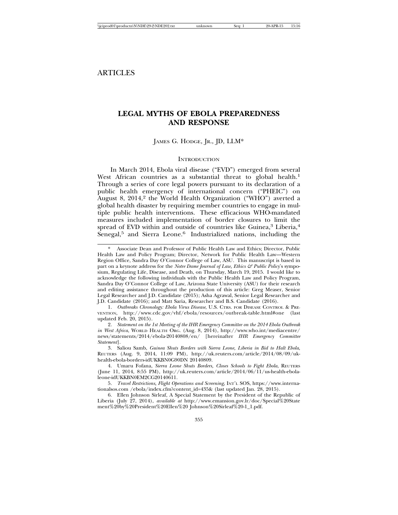# **LEGAL MYTHS OF EBOLA PREPAREDNESS AND RESPONSE**

## JAMES G. HODGE, JR., JD, LLM\*

# **INTRODUCTION**

In March 2014, Ebola viral disease ("EVD") emerged from several West African countries as a substantial threat to global health.<sup>1</sup> Through a series of core legal powers pursuant to its declaration of a public health emergency of international concern ("PHEIC") on August 8, 2014,<sup>2</sup> the World Health Organization ("WHO") averted a global health disaster by requiring member countries to engage in multiple public health interventions. These efficacious WHO-mandated measures included implementation of border closures to limit the spread of EVD within and outside of countries like Guinea, $3$  Liberia, $4$  $\hat{\text{S}}$ enegal,<sup>5</sup> and Sierra Leone.<sup>6</sup> Industrialized nations, including the

Associate Dean and Professor of Public Health Law and Ethics; Director, Public Health Law and Policy Program; Director, Network for Public Health Law—Western Region Office, Sandra Day O'Connor College of Law, ASU*.* This manuscript is based in part on a keynote address for the *Notre Dame Journal of Law, Ethics & Public Policy*'s symposium, Regulating Life, Disease, and Death, on Thursday, March 19, 2015. I would like to acknowledge the following individuals with the Public Health Law and Policy Program, Sandra Day O'Connor College of Law, Arizona State University (ASU) for their research and editing assistance throughout the production of this article: Greg Measer, Senior Legal Researcher and J.D. Candidate (2015); Asha Agrawal, Senior Legal Researcher and J.D. Candidate (2016); and Matt Saria, Researcher and B.S. Candidate (2016).

<sup>1.</sup> *Outbreaks Chronology: Ebola Virus Disease*, U.S. CTRS. FOR DISEASE CONTROL & PRE-VENTION, http://www.cdc.gov/vhf/ebola/resources/outbreak-table.html#one (last updated Feb. 20, 2015).

<sup>2.</sup> *Statement on the 1st Meeting of the IHR Emergency Committee on the 2014 Ebola Outbreak in West Africa*, WORLD HEALTH ORG. (Aug. 8, 2014), http://www.who.int/mediacentre/ news/statements/2014/ebola-20140808/en/ [hereinafter *IHR Emergency Committee Statement*].

<sup>3.</sup> Saliou Samb, *Guinea Shuts Borders with Sierra Leone, Liberia in Bid to Halt Ebola*, REUTERS (Aug. 9, 2014, 11:09 PM), http://uk.reuters.com/article/2014/08/09/ukhealth-ebola-borders-idUKKBN0G90DN 20140809.

<sup>4.</sup> Umaru Fofana, *Sierra Leone Shuts Borders, Closes Schools to Fight Ebola*, REUTERS (June 11, 2014, 8:55 PM), http://uk.reuters.com/article/2014/06/11/us-health-ebolaleone-idUKKBN0EM2CG20140611.

<sup>5.</sup> *Travel Restrictions, Flight Operations and Screening*, INT'L SOS, https://www.internationalsos.com /ebola/index.cfm?content\_id=435& (last updated Jan. 28, 2015).

<sup>6.</sup> Ellen Johnson Sirleaf, A Special Statement by the President of the Republic of Liberia (July 27, 2014), *available at* http://www.emansion.gov.lr/doc/Special%20State ment%20by%20President%20Ellen%20 Johnson%20Sirleaf%20-1\_1.pdf.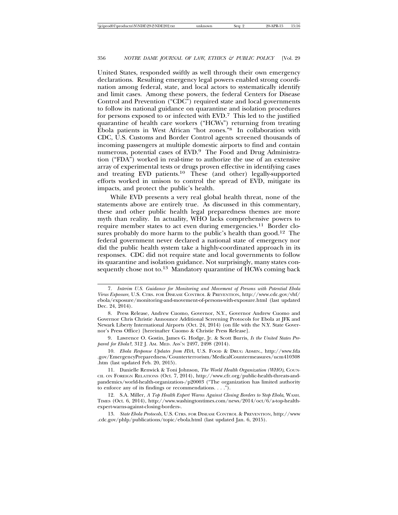United States, responded swiftly as well through their own emergency declarations. Resulting emergency legal powers enabled strong coordination among federal, state, and local actors to systematically identify and limit cases. Among these powers, the federal Centers for Disease Control and Prevention ("CDC") required state and local governments to follow its national guidance on quarantine and isolation procedures for persons exposed to or infected with EVD.<sup>7</sup> This led to the justified quarantine of health care workers ("HCWs") returning from treating Ebola patients in West African "hot zones."8 In collaboration with CDC, U.S. Customs and Border Control agents screened thousands of incoming passengers at multiple domestic airports to find and contain numerous, potential cases of EVD.9 The Food and Drug Administration ("FDA") worked in real-time to authorize the use of an extensive array of experimental tests or drugs proven effective in identifying cases and treating EVD patients.10 These (and other) legally-supported efforts worked in unison to control the spread of EVD, mitigate its impacts, and protect the public's health.

While EVD presents a very real global health threat, none of the statements above are entirely true. As discussed in this commentary, these and other public health legal preparedness themes are more myth than reality. In actuality, WHO lacks comprehensive powers to require member states to act even during emergencies.<sup>11</sup> Border closures probably do more harm to the public's health than good.<sup>12</sup> The federal government never declared a national state of emergency nor did the public health system take a highly-coordinated approach in its responses. CDC did not require state and local governments to follow its quarantine and isolation guidance. Not surprisingly, many states consequently chose not to.<sup>13</sup> Mandatory quarantine of HCWs coming back

- 7. *Interim U.S. Guidance for Monitoring and Movement of Persons with Potential Ebola Virus Exposure*, U.S. CTRS. FOR DISEASE CONTROL & PREVENTION, http://www.cdc.gov/vhf/ ebola/exposure/monitoring-and-movement-of-persons-with-exposure.html (last updated Dec. 24, 2014).
- 8. Press Release, Andrew Cuomo, Governor, N.Y., Governor Andrew Cuomo and Governor Chris Christie Announce Additional Screening Protocols for Ebola at JFK and Newark Liberty International Airports (Oct. 24, 2014) (on file with the N.Y. State Governor's Press Office) [hereinafter Cuomo & Christie Press Release].

9. Lawrence O. Gostin, James G. Hodge, Jr. & Scott Burris, *Is the United States Prepared for Ebola?*, 312 J. AM. MED. ASS'N 2497, 2498 (2014).

10. *Ebola Response Updates from FDA*, U.S. FOOD & DRUG ADMIN., http://www.fda .gov/EmergencyPreparedness/Counterterrorism/MedicalCountermeasures/ucm410308 .htm (last updated Feb. 20, 2015).

11. Danielle Renwick & Toni Johnson, *The World Health Organization (WHO)*, COUN-CIL ON FOREIGN RELATIONS (Oct. 7, 2014), http://www.cfr.org/public-health-threats-andpandemics/world-health-organization-/p20003 ("The organization has limited authority to enforce any of its findings or recommendations.  $\dots$ ").

12. S.A. Miller, *A Top Health Expert Warns Against Closing Borders to Stop Ebola*, WASH. TIMES (Oct. 6, 2014), http://www.washingtontimes.com/news/2014/oct/6/a-top-healthexpert-warns-against-closing-borders-.

13. *State Ebola Protocols*, U.S. CTRS. FOR DISEASE CONTROL & PREVENTION, http://www .cdc.gov/phlp/publications/topic/ebola.html (last updated Jan. 6, 2015).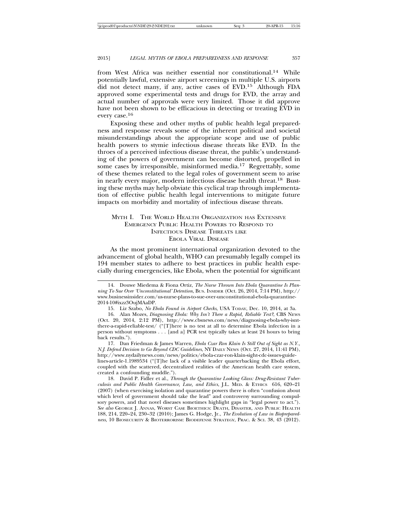from West Africa was neither essential nor constitutional.14 While potentially lawful, extensive airport screenings in multiple U.S. airports did not detect many, if any, active cases of EVD.15 Although FDA approved some experimental tests and drugs for EVD, the array and actual number of approvals were very limited. Those it did approve have not been shown to be efficacious in detecting or treating EVD in every case.<sup>16</sup>

Exposing these and other myths of public health legal preparedness and response reveals some of the inherent political and societal misunderstandings about the appropriate scope and use of public health powers to stymie infectious disease threats like EVD. In the throes of a perceived infectious disease threat, the public's understanding of the powers of government can become distorted, propelled in some cases by irresponsible, misinformed media.<sup>17</sup> Regrettably, some of these themes related to the legal roles of government seem to arise in nearly every major, modern infectious disease health threat.18 Busting these myths may help obviate this cyclical trap through implementation of effective public health legal interventions to mitigate future impacts on morbidity and mortality of infectious disease threats.

# MYTH I. THE WORLD HEALTH ORGANIZATION HAS EXTENSIVE EMERGENCY PUBLIC HEALTH POWERS TO RESPOND TO INFECTIOUS DISEASE THREATS LIKE EBOLA VIRAL DISEASE

As the most prominent international organization devoted to the advancement of global health, WHO can presumably legally compel its 194 member states to adhere to best practices in public health especially during emergencies, like Ebola, when the potential for significant

15. Liz Szabo, *No Ebola Found in Airport Checks*, USA TODAY, Dec. 10, 2014, at 3a.

17. Dan Friedman & James Warren, *Ebola Czar Ron Klain Is Still Out of Sight as N.Y., N.J. Defend Decision to Go Beyond CDC Guidelines*, NY DAILY NEWS (Oct. 27, 2014, 11:41 PM), http://www.nydailynews.com/news/politics/ebola-czar-ron-klain-sight-cdc-issues-guidelines-article-1.1989534 ("[T]he lack of a visible leader quarterbacking the Ebola effort, coupled with the scattered, decentralized realities of the American health care system, created a confounding muddle.").

18. David P. Fidler et al., *Through the Quarantine Looking Glass: Drug-Resistant Tuberculosis and Public Health Governance, Law, and Ethics*, J.L. MED. & ETHICS 616, 620–21 (2007) (when exercising isolation and quarantine powers there is often "confusion about which level of government should take the lead" and controversy surrounding compulsory powers, and that novel diseases sometimes highlight gaps in "legal power to act."). *See also* GEORGE J. ANNAS, WORST CASE BIOETHICS: DEATH, DISASTER, AND PUBLIC HEALTH 188, 214, 220–24, 230–32 (2010); James G. Hodge, Jr., *The Evolution of Law in Biopreparedness*, 10 BIOSECURITY & BIOTERRORISM: BIODEFENSE STRATEGY, PRAC. & SCI. 38, 43 (2012).

<sup>14.</sup> Douwe Miedema & Fiona Ortiz, *The Nurse Thrown Into Ebola Quarantine Is Planning To Sue Over 'Unconstitutional' Detention*, BUS. INSIDER (Oct. 26, 2014, 7:14 PM), http:// www.businessinsider.com/us-nurse-plans-to-sue-over-unconstitutional-ebola-quarantine-2014-10#ixzz3OujMAaDP.

<sup>16.</sup> Alan Mozes, *Diagnosing Ebola: Why Isn't There a Rapid, Reliable Test?*, CBS NEWS (Oct. 20, 2014, 2:12 PM), http://www.cbsnews.com/news/diagnosing-ebola-why-isntthere-a-rapid-reliable-test/ ("[T]here is no test at all to determine Ebola infection in a person without symptoms . . . [and a] PCR test typically takes at least 24 hours to bring back results.").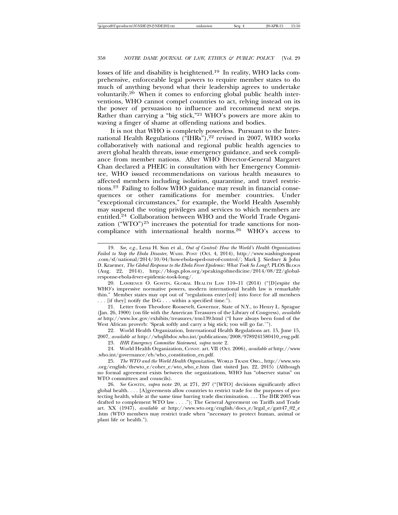losses of life and disability is heightened.<sup>19</sup> In reality, WHO lacks comprehensive, enforceable legal powers to require member states to do much of anything beyond what their leadership agrees to undertake voluntarily.<sup>20</sup> When it comes to enforcing global public health interventions, WHO cannot compel countries to act, relying instead on its the power of persuasion to influence and recommend next steps. Rather than carrying a "big stick,"21 WHO's powers are more akin to waving a finger of shame at offending nations and bodies.

It is not that WHO is completely powerless. Pursuant to the International Health Regulations ("HHRs"),<sup>22</sup> revised in 2007, WHO works collaboratively with national and regional public health agencies to avert global health threats, issue emergency guidance, and seek compliance from member nations. After WHO Director-General Margaret Chan declared a PHEIC in consultation with her Emergency Committee, WHO issued recommendations on various health measures to affected members including isolation, quarantine, and travel restrictions.23 Failing to follow WHO guidance may result in financial consequences or other ramifications for member countries. Under "exceptional circumstances," for example, the World Health Assembly may suspend the voting privileges and services to which members are entitled.24 Collaboration between WHO and the World Trade Organization ("WTO")<sup>25</sup> increases the potential for trade sanctions for noncompliance with international health norms.26 WHO's access to

20. LAWRENCE O. GOSTIN, GLOBAL HEALTH LAW 110–11 (2014) ("[D]espite the WHO's impressive normative powers, modern international health law is remarkably thin." Member states may opt out of "regulations enter[ed] into force for all members . . . [if they] notify the D-G . . . within a specified time.").

21. Letter from Theodore Roosevelt, Governor, State of N.Y., to Henry L. Sprague (Jan. 26, 1900) (on file with the American Treasures of the Library of Congress), *available at* http://www.loc.gov/exhibits/treasures/trm139.html ("I have always been fond of the West African proverb: 'Speak softly and carry a big stick; you will go far.'").

22. World Health Organization, International Health Regulations art. 15, June 15, 2007, *available at* http://whqlibdoc.who.int/publications/2008/9789241580410\_eng.pdf.

23. *IHR Emergency Committee Statement*, *supra* note 2.

24. World Health Organization, CONST. art. VII (Oct. 2006), *available at* http://www .who.int/governance/eb/who\_constitution\_en.pdf.

25. *The WTO and the World Health Organization*, WORLD TRADE ORG., http://www.wto .org/english/thewto\_e/coher\_e/wto\_who\_e.htm (last visited Jan. 22, 2015) (Although no formal agreement exists between the organizations, WHO has "observer status" on WTO committees and councils).

26. *See* GOSTIN, *supra* note 20, at 271, 297 ("[WTO] decisions significantly affect global health. . . . [A]greements allow countries to restrict trade for the purposes of protecting health, while at the same time barring trade discrimination. . . . The IHR 2005 was drafted to complement WTO law . . . ."); The General Agreement on Tariffs and Trade art. XX (1947), *available at* http://www.wto.org/english/docs\_e/legal\_e/gatt47\_02\_e .htm (WTO members may restrict trade when "necessary to protect human, animal or plant life or health.").

<sup>19.</sup> *See, e.g.*, Lena H. Sun et al., *Out of Control: How the World's Health Organizations Failed to Stop the Ebola Disaster*, WASH. POST (Oct. 4, 2014), http://www.washingtonpost .com/sf/national/2014/10/04/how-ebola-sped-out-of-control/; Mark J. Siedner & John D. Kraemer, *The Global Response to the Ebola Fever Epidemic: What Took So Long?*, PLOS BLOGS (Aug. 22, 2014), http://blogs.plos.org/speakingofmedicine/2014/08/22/globalresponse-ebola-fever-epidemic-took-long/.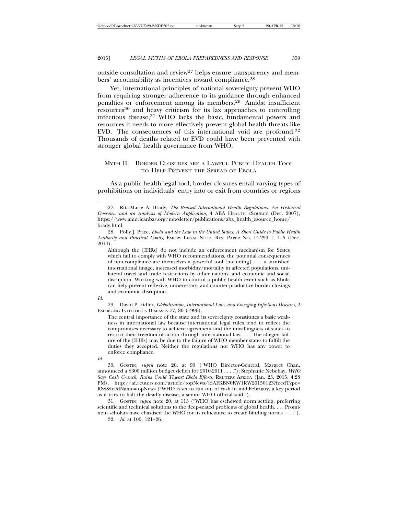outside consultation and review<sup>27</sup> helps ensure transparency and members' accountability as incentives toward compliance.<sup>28</sup>

Yet, international principles of national sovereignty prevent WHO from requiring stronger adherence to its guidance through enhanced penalties or enforcement among its members.29 Amidst insufficient resources30 and heavy criticism for its lax approaches to controlling infectious disease,<sup>31</sup> WHO lacks the basic, fundamental powers and resources it needs to more effectively prevent global health threats like EVD. The consequences of this international void are profound.<sup>32</sup> Thousands of deaths related to EVD could have been prevented with stronger global health governance from WHO.

# MYTH II. BORDER CLOSURES ARE A LAWFUL PUBLIC HEALTH TOOL TO HELP PREVENT THE SPREAD OF EBOLA

As a public health legal tool, border closures entail varying types of prohibitions on individuals' entry into or exit from countries or regions

Although the [IHRs] do not include an enforcement mechanism for States which fail to comply with WHO recommendations, the potential consequences of non-compliance are themselves a powerful tool [including] . . . a tarnished international image, increased morbidity/mortality in affected populations, unilateral travel and trade restrictions by other nations, and economic and social disruption. Working with WHO to control a public health event such as Ebola can help prevent reflexive, unnecessary, and counter-productive border closings and economic disruption.

#### *Id.*

29. David P. Fidler, *Globalization, International Law, and Emerging Infectious Diseases*, 2 EMERGING INFECTIOUS DISEASES 77, 80 (1996).

The central importance of the state and its sovereignty constitutes a basic weakness in international law because international legal rules tend to reflect the compromises necessary to achieve agreement and the unwillingness of states to restrict their freedom of action through international law. . . . The alleged failure of the [IHRs] may be due to the failure of WHO member states to fulfill the duties they accepted. Neither the regulations nor WHO has any power to enforce compliance.

30. GOSTIN, *supra* note 20, at 90 ("WHO Director-General, Margret Chan, announced a \$300 million budget deficit for 2010-2011 . . . ."); Stephanie Nebehay, *WHO Says Cash Crunch, Rains Could Thwart Ebola Efforts*, REUTERS AFRICA (Jan. 23, 2015, 4:28 PM), http://af.reuters.com/article/topNews/idAFKBN0KW1RW20150123?feedType= RSS&feedName=topNews ("WHO is set to run out of cash in mid-February, a key period as it tries to halt the deadly disease, a senior WHO official said.").

31. GOSTIN, *supra* note 20, at 113 ("WHO has eschewed norm setting, preferring scientific and technical solutions to the deep-seated problems of global health. . . . Prominent scholars have chastised the WHO for its reluctance to create binding norms . . . .").

32. *Id*. at 100, 121–26.

<sup>27.</sup> Rita-Marie A. Brady, *The Revised International Health Regulations: An Historical Overview and an Analysis of Modern Application*, 4 ABA HEALTH ESOURCE (Dec. 2007), https://www.americanbar.org/newsletter/publications/aba\_health\_esource\_home/ brady.html.

<sup>28.</sup> Polly J. Price, *Ebola and the Law in the United States: A Short Guide to Public Health Authority and Practical Limits*, EMORY LEGAL STUD. RES. PAPER NO. 14-299 1, 4–5 (Dec. 2014).

*Id.*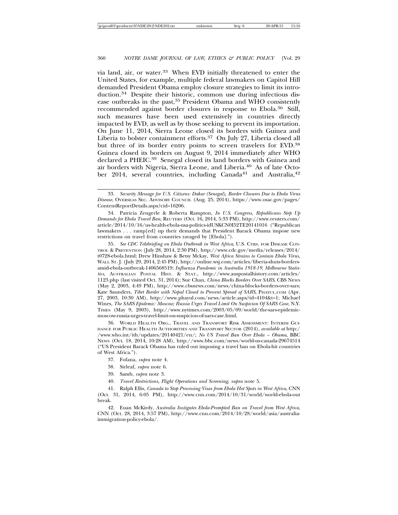via land, air, or water.33 When EVD initially threatened to enter the United States, for example, multiple federal lawmakers on Capitol Hill demanded President Obama employ closure strategies to limit its introduction.34 Despite their historic, common use during infectious disease outbreaks in the past,<sup>35</sup> President Obama and WHO consistently recommended against border closures in response to Ebola.<sup>36</sup> Still, such measures have been used extensively in countries directly impacted by EVD, as well as by those seeking to prevent its importation. On June 11, 2014, Sierra Leone closed its borders with Guinea and Liberia to bolster containment efforts.<sup>37</sup> On July 27, Liberia closed all but three of its border entry points to screen travelers for EVD.<sup>38</sup> Guinea closed its borders on August 9, 2014 immediately after WHO declared a PHEIC.<sup>39</sup> Senegal closed its land borders with Guinea and air borders with Nigeria, Sierra Leone, and Liberia.40 As of late October 2014, several countries, including Canada<sup>41</sup> and Australia, <sup>42</sup>

35. *See CDC Telebriefing on Ebola Outbreak in West Africa*, U.S. CTRS. FOR DISEASE CON-TROL & PREVENTION (July 28, 2014, 2:30 PM), http://www.cdc.gov/media/releases/2014/ t0728-ebola.html; Drew Hinshaw & Betsy Mckay, *West Africa Strains to Contain Ebola Virus*, WALL ST. J. (July 29, 2014, 2:45 PM), http://online.wsj.com/articles/liberia-shuts-bordersamid-ebola-outbreak-1406568519; *Influenza Pandemic in Australia 1918-19, Melbourne Statistics*, AUSTRALIAN POSTAL HIST. & STAT., http://www.auspostalhistory.com/articles/ 1123.php (last visited Oct. 31, 2014); Sue Chan, *China Blocks Borders Over SARS*, CBS NEWS (May 2, 2003, 4:49 PM), http://www.cbsnews.com/news/china-blocks-borders-over-sars; Kate Saunders, *Tibet Border with Nepal Closed to Prevent Spread of SARS*, PHAYUL.COM (Apr. 27, 2003, 10:30 AM), http://www.phayul.com/news/article.aspx?id=4104&t=1; Michael Wines, *The SARS Epidemic: Moscow; Russia Urges Travel Limit On Suspicion Of SARS Case*, N.Y. TIMES (May 9, 2003), http://www.nytimes.com/2003/05/09/world/the-sars-epidemicmoscow-russia-urges-travel-limit-on-suspicion-of-sars-case.html.

36. WORLD HEALTH ORG., TRAVEL AND TRANSPORT RISK ASSESSMENT: INTERIM GUI-DANCE FOR PUBLIC HEALTH AUTHORITIES AND TRANSPORT SECTOR (2014), *available at* http:/ /www.who.int/ith/updates/20140421/en/; *No US Travel Ban Over Ebola – Obama*, BBC NEWS (Oct. 18, 2014, 10:28 AM), http://www.bbc.com/news/world-us-canada-29674514 ("US President Barack Obama has ruled out imposing a travel ban on Ebola-hit countries of West Africa.").

- 37. Fofana, *supra* note 4.
- 38. Sirleaf, *supra* note 6.
- 39. Samb, *supra* note 3.
- 40. *Travel Restrictions, Flight Operations and Screening*, *supra* note 5.

41. Ralph Ellis, *Canada to Stop Processing Visas from Ebola Hot Spots in West Africa*, CNN (Oct. 31, 2014, 6:05 PM), http://www.cnn.com/2014/10/31/world/world-ebola-out break.

42. Euan McKirdy, *Australia Instigates Ebola-Prompted Ban on Travel from West Africa*, CNN (Oct. 28, 2014, 3:57 PM), http://www.cnn.com/2014/10/28/world/asia/australiaimmigration-policy-ebola/.

<sup>33.</sup> *Security Message for U.S. Citizens: Dakar (Senegal), Border Closures Due to Ebola Virus Disease*, OVERSEAS SEC. ADVISORY COUNCIL (Aug. 25, 2014), https://www.osac.gov/pages/ ContentReportDetails.aspx?cid=16206.

<sup>34.</sup> Patricia Zengerle & Roberta Rampton, *In U.S. Congress, Republicans Step Up Demands for Ebola Travel Ban*, REUTERS (Oct. 16, 2014, 5:33 PM), http://www.reuters.com/ article/2014/10/16/us-health-ebola-usa-politics-idUSKCN0I52TE20141016 ("Republican lawmakers . . . ramp[ed] up their demands that President Barack Obama impose new restrictions on travel from countries ravaged by [Ebola].").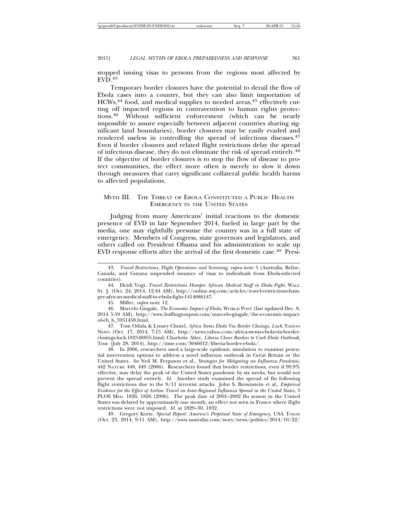stopped issuing visas to persons from the regions most affected by  $EVD<sup>143</sup>$ 

Temporary border closures have the potential to derail the flow of Ebola cases into a country, but they can also limit importation of HCWs,<sup>44</sup> food, and medical supplies to needed areas,<sup>45</sup> effectively cutting off impacted regions in contravention to human rights protections.46 Without sufficient enforcement (which can be nearly impossible to assure especially between adjacent countries sharing significant land boundaries), border closures may be easily evaded and rendered useless in controlling the spread of infectious diseases.<sup>47</sup> Even if border closures and related flight restrictions delay the spread of infectious disease, they do not eliminate the risk of spread entirely.<sup>48</sup> If the objective of border closures is to stop the flow of disease to protect communities, the effect more often is merely to slow it down through measures that carry significant collateral public health harms to affected populations.

## MYTH III. THE THREAT OF EBOLA CONSTITUTED A PUBLIC HEALTH EMERGENCY IN THE UNITED STATES

Judging from many Americans' initial reactions to the domestic presence of EVD in late September 2014, fueled in large part by the media, one may rightfully presume the country was in a full state of emergency. Members of Congress, state governors and legislators, and others called on President Obama and his administration to scale up EVD response efforts after the arrival of the first domestic case.49 Presi-

45. Miller, *supra* note 12.

46. Marcelo Giugale, *The Economic Impact of Ebola*, WORLD POST (last updated Dec. 8, 2014 5:59 AM), http://www.huffingtonpost.com/marcelo-giugale/the-economic-impactof-eb\_b\_5951458.html.

47. Tom Odula & Lynsey Chutel, *Africa Stems Ebola Via Border Closings, Luck*, YAHOO NEWS (Oct. 17, 2014, 7:15 AM), http://news.yahoo.com/africa-stems-ebola-via-borderclosings-luck-182548855.html; Charlotte Alter, *Liberia Closes Borders to Curb Ebola Outbreak*, TIME (July 28, 2014), http://time.com/3046012/liberia-border-ebola/.

48. In 2006, researchers used a large-scale epidemic simulation to examine potential intervention options to address a novel influenza outbreak in Great Britain or the United States. *See* Neil M. Ferguson et al., *Strategies for Mitigating an Influenza Pandemic*, 442 NATURE 448, 449 (2006). Researchers found that border restrictions, even if 99.9% effective, may delay the peak of the United States pandemic by six weeks, but would not prevent the spread entirely. *Id*. Another study examined the spread of flu following flight restrictions due to the 9/11 terrorist attacks. John S. Brownstein et al., *Empirical Evidence for the Effect of Airline Travel on Inter-Regional Influenza Spread in the United States*, 3 PLOS MED. 1826, 1826 (2006). The peak date of 2001–2002 flu season in the United States was delayed by approximately one month, an effect not seen in France where flight restrictions were not imposed. *Id.* at 1829–30, 1832.

49. Gregory Korte, *Special Report: America's Perpetual State of Emergency*, USA TODAY (Oct. 23, 2014, 9:11 AM), http://www.usatoday.com/story/news/politics/2014/10/22/

<sup>43.</sup> *Travel Restrictions, Flight Operations and Screening*, *supra* note 5 (Australia, Belize, Canada, and Guyana suspended issuance of visas to individuals from Ebola-infected countries).

<sup>44.</sup> Heidi Vogt, *Travel Restrictions Hamper African Medical Staff in Ebola Fight*, WALL ST. J. (Oct. 24, 2014, 12:44 AM), http://online.wsj.com/articles/travel-restrictions-hamper-african-medical-staff-in-ebola-fight-1414086147.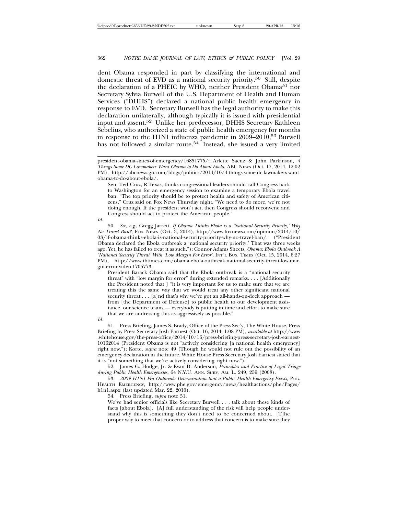dent Obama responded in part by classifying the international and domestic threat of EVD as a national security priority.<sup>50</sup> Still, despite the declaration of a PHEIC by WHO, neither President Obama<sup>51</sup> nor Secretary Sylvia Burwell of the U.S. Department of Health and Human Services ("DHHS") declared a national public health emergency in response to EVD. Secretary Burwell has the legal authority to make this declaration unilaterally, although typically it is issued with presidential input and assent.52 Unlike her predecessor, DHHS Secretary Kathleen Sebelius, who authorized a state of public health emergency for months in response to the H1N1 influenza pandemic in 2009–2010,53 Burwell has not followed a similar route.<sup>54</sup> Instead, she issued a very limited

president-obama-states-of-emergency/16851775/; Arlette Saenz & John Parkinson, *4 Things Some DC Lawmakers Want Obama to Do About Ebola*, ABC NEWS (Oct. 17, 2014, 12:02 PM), http://abcnews.go.com/blogs/politics/2014/10/4-things-some-dc-lawmakers-wantobama-to-do-about-ebola/.

Sen. Ted Cruz, R-Texas, thinks congressional leaders should call Congress back to Washington for an emergency session to examine a temporary Ebola travel ban. "The top priority should be to protect health and safety of American citizens," Cruz said on Fox News Thursday night. "We need to do more, we're not doing enough. If the president won't act, then Congress should reconvene and Congress should act to protect the American people."

*Id.*

50. *See, e.g*., Gregg Jarrett, *If Obama Thinks Ebola is a 'National Security Priority,' Why No Travel Ban?*, FOX NEWS (Oct. 3, 2014), http://www.foxnews.com/opinion/2014/10/ 03/if-obama-thinks-ebola-is-national-security-priority-why-no-travel-ban/. ("President Obama declared the Ebola outbreak a 'national security priority.' That was three weeks ago. Yet, he has failed to treat it as such."); Connor Adams Sheets, *Obama: Ebola Outbreak A 'National Security Threat' With 'Low Margin For Error'*, INT'L BUS. TIMES (Oct. 15, 2014, 6:27 PM), http://www.ibtimes.com/obama-ebola-outbreak-national-security-threat-low-margin-error-video-1705773.

President Barack Obama said that the Ebola outbreak is a "national security threat" with "low margin for error" during extended remarks. . . . [Additionally the President noted that ] "it is very important for us to make sure that we are treating this the same way that we would treat any other significant national security threat . . . [a]nd that's why we've got an all-hands-on-deck approach from [the Department of Defense] to public health to our development assistance, our science teams — everybody is putting in time and effort to make sure that we are addressing this as aggressively as possible."

*Id.*

51. Press Briefing, James S. Brady, Office of the Press Sec'y, The White House, Press Briefing by Press Secretary Josh Earnest (Oct. 16, 2014, 1:08 PM), *available at* http://www .whitehouse.gov/the-press-office/2014/10/16/press-briefing-press-secretary-josh-earnest-10162014 (President Obama is not "actively considering [a national health emergency] right now."); Korte, *supra* note 49 (Though he would not rule out the possibility of an emergency declaration in the future, White House Press Secretary Josh Earnest stated that it is "not something that we're actively considering right now.").

52. James G. Hodge, Jr. & Evan D. Anderson, *Principles and Practice of Legal Triage during Public Health Emergencies*, 64 N.Y.U. ANN. SURV. AM. L*.* 249, 259 (2008).

53. *2009 H1N1 Flu Outbreak: Determination that a Public Health Emergency Exists,* PUB. HEALTH EMERGENCY, http://www.phe.gov/emergency/news/healthactions/phe/Pages/ h1n1.aspx (last updated Mar. 22, 2010).

54. Press Briefing, *supra* note 51.

We've had senior officials like Secretary Burwell . . . talk about these kinds of facts [about Ebola]. [A] full understanding of the risk will help people understand why this is something they don't need to be concerned about. [T]he proper way to meet that concern or to address that concern is to make sure they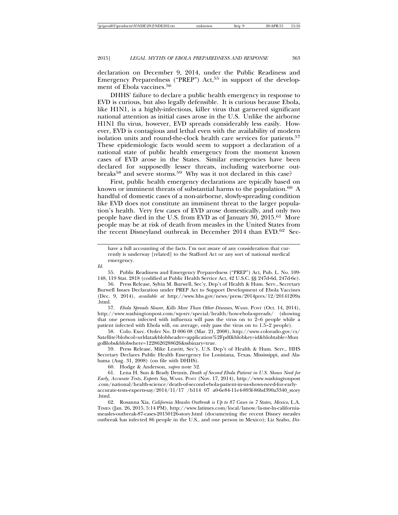declaration on December 9, 2014, under the Public Readiness and Emergency Preparedness ("PREP") Act,<sup>55</sup> in support of the development of Ebola vaccines.<sup>56</sup>

DHHS' failure to declare a public health emergency in response to EVD is curious, but also legally defensible. It is curious because Ebola, like H1N1, is a highly-infectious, killer virus that garnered significant national attention as initial cases arose in the U.S. Unlike the airborne H1N1 flu virus, however, EVD spreads considerably less easily. However, EVD is contagious and lethal even with the availability of modern isolation units and round-the-clock health care services for patients.<sup>57</sup> These epidemiologic facts would seem to support a declaration of a national state of public health emergency from the moment known cases of EVD arose in the States. Similar emergencies have been declared for supposedly lesser threats, including waterborne outbreaks<sup>58</sup> and severe storms.<sup>59</sup> Why was it not declared in this case?

First, public health emergency declarations are typically based on known or imminent threats of substantial harms to the population.<sup>60</sup> A handful of domestic cases of a non-airborne, slowly-spreading condition like EVD does not constitute an imminent threat to the larger population's health. Very few cases of EVD arose domestically, and only two people have died in the U.S. from EVD as of January 30, 2015.61 More people may be at risk of death from measles in the United States from the recent Disneyland outbreak in December 2014 than EVD.<sup>62</sup> Sec-

*Id.*

55. Public Readiness and Emergency Preparedness ("PREP") Act, Pub. L. No. 109- 148, 119 Stat. 2818 (codified at Public Health Service Act, 42 U.S.C. §§ 247d-6d, 247d-6e).

56. Press Release, Sylvia M. Burwell, Sec'y, Dep't of Health & Hum. Serv., Secretary Burwell Issues Declaration under PREP Act to Support Development of Ebola Vaccines (Dec. 9, 2014), *available at* http://www.hhs.gov/news/press/2014pres/12/20141209a .html.

57. *Ebola Spreads Slower, Kills More Than Other Diseases*, WASH. POST (Oct. 14, 2014), http://www.washingtonpost.com/wp-srv/special/health/how-ebola-spreads/ (showing that one person infected with influenza will pass the virus on to 2–6 people while a patient infected with Ebola will, on average, only pass the virus on to 1.5–2 people).

58. Colo. Exec. Order No. D 006 08 (Mar. 21, 2008), http://www.colorado.gov/cs/ Satellite?blobcol=urldata&blobheader=application%2Fpdf&blobkey=id&blobtable=Mun goBlobs&blobwhere=1228626288626&ssbinary=true.

59. Press Release, Mike Leavitt, Sec'y, U.S. Dep't of Health & Hum. Serv., HHS Secretary Declares Public Health Emergency for Louisiana, Texas, Mississippi, and Alabama (Aug. 31, 2008) (on file with DHHS).

60. Hodge & Anderson, *supra* note 52.

61. Lena H. Sun & Brady Dennis, *Death of Second Ebola Patient in U.S. Shows Need for Early, Accurate Tests, Experts Say*, WASH. POST (Nov. 17, 2014), http://www.washingtonpost .com/national/health-science/death-of-second-ebola-patient-in-us-shows-need-for-earlyaccurate-tests-experts-say/2014/11/17 /b114 07 a0-6e84-11e4-893f-86bd390a3340\_story .html.

62. Rosanna Xia, *California Measles Outbreak is Up to 87 Cases in 7 States, Mexico*, L.A. TIMES (Jan. 26, 2015, 5:14 PM), http://www.latimes.com/local/lanow/la-me-ln-californiameasles-outbreak-87-cases-20150126-story.html (documenting the recent Disney measles outbreak has infected 86 people in the U.S., and one person in Mexico); Liz Szabo, *Dis-*

have a full accounting of the facts. I'm not aware of any consideration that currently is underway [related] to the Stafford Act or any sort of national medical emergency.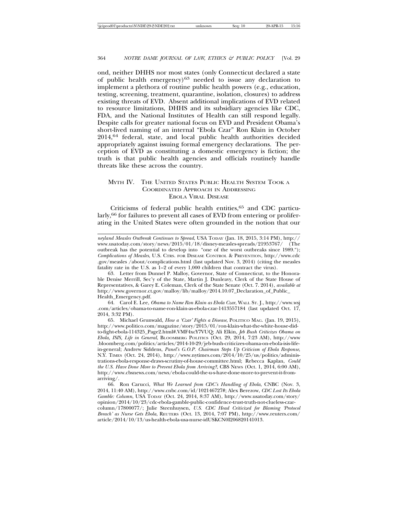ond, neither DHHS nor most states (only Connecticut declared a state of public health emergency) $63$  needed to issue any declaration to implement a plethora of routine public health powers (e.g., education, testing, screening, treatment, quarantine, isolation, closures) to address existing threats of EVD. Absent additional implications of EVD related to resource limitations, DHHS and its subsidiary agencies like CDC, FDA, and the National Institutes of Health can still respond legally. Despite calls for greater national focus on EVD and President Obama's short-lived naming of an internal "Ebola Czar" Ron Klain in October 2014,64 federal, state, and local public health authorities decided appropriately against issuing formal emergency declarations. The perception of EVD as constituting a domestic emergency is fiction; the truth is that public health agencies and officials routinely handle threats like these across the country.

# MYTH IV. THE UNITED STATES PUBLIC HEALTH SYSTEM TOOK A COORDINATED APPROACH IN ADDRESSING EBOLA VIRAL DISEASE

Criticisms of federal public health entities, $65$  and CDC particularly,<sup>66</sup> for failures to prevent all cases of EVD from entering or proliferating in the United States were often grounded in the notion that our

64. Carol E. Lee, *Obama to Name Ron Klain as Ebola Czar*, WALL ST. J., http://www.wsj .com/articles/obama-to-name-ron-klain-as-ebola-czar-1413557184 (last updated Oct. 17, 2014, 3:32 PM).

*neyland Measles Outbreak Continues to Spread*, USA TODAY (Jan. 18, 2015, 3:14 PM), http:// www.usatoday.com/story/news/2015/01/18/disney-measles-spreads/21953767/ (The outbreak has the potential to develop into "one of the worst outbreaks since 1989."); *Complications of Measles*, U.S. CTRS. FOR DISEASE CONTROL & PREVENTION, http://www.cdc .gov/measles /about/complications.html (last updated Nov. 3, 2014) (citing the measles fatality rate in the U.S. as  $1-2$  of every 1,000 children that contract the virus).

<sup>63.</sup> Letter from Dunnel P. Malloy, Governor, State of Connecticut, to the Honorable Denise Merrill, Sec'y of the State, Martin J. Dunleavy, Clerk of the State House of Representatives, & Garey E. Coleman, Clerk of the State Senate (Oct. 7. 2014), *available at* http://www.governor.ct.gov/malloy/lib/malloy/2014.10.07\_Declaration\_of\_Public\_ Health\_Emergency.pdf.

<sup>65.</sup> Michael Grunwald, *How a 'Czar' Fights a Disease*, POLITICO MAG. (Jan. 19, 2015), http://www.politico.com/magazine/story/2015/01/ron-klain-what-the-white-house-didto-fight-ebola-114325\_Page2.html#.VMF4xcY7VUQ; Ali Elkin, *Jeb Bush Criticizes Obama on Ebola, ISIS, Life in General*, BLOOMBERG POLITICS (Oct. 29, 2014, 7:23 AM), http://www .bloomberg.com/politics/articles/2014-10-29/jeb-bush-criticizes-obama-on-ebola-isis-lifein-general; Andrew Siddens, *Panel's G.O.P. Chairman Steps Up Criticism of Ebola Response*, N.Y. TIMES (Oct. 24, 2014), http://www.nytimes.com/2014/10/25/us/politics/administrations-ebola-response-draws-scrutiny-of-house-committee.html; Rebecca Kaplan, *Could the U.S. Have Done More to Prevent Ebola from Arriving?*, CBS NEWS (Oct. 1, 2014, 6:00 AM), http://www.cbsnews.com/news/ebola-could-the-u-s-have-done-more-to-prevent-it-fromarriving/.

<sup>66.</sup> Ron Carucci, *What We Learned from CDC's Handling of Ebola*, CNBC (Nov. 3, 2014, 11:40 AM), http://www.cnbc.com/id/102146727#; Alex Berezow, *CDC Lost Its Ebola Gamble: Column*, USA TODAY (Oct. 24, 2014, 8:37 AM), http://www.usatoday.com/story/ opinion/2014/10/23/cdc-ebola-gamble-public-confidence-trust-truth-not-clueless-czarcolumn/17800077/; Julie Steenhuysen, *U.S. CDC Head Criticized for Blaming 'Protocol Breach' as Nurse Gets Ebola*, REUTERS (Oct. 13, 2014, 7:07 PM), http://www.reuters.com/ article/2014/10/13/us-health-ebola-usa-nurse-idUSKCN0I206820141013.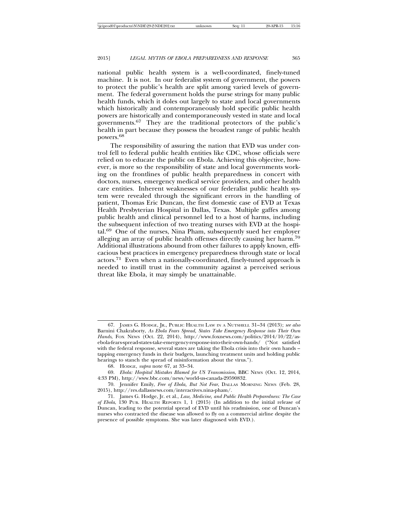national public health system is a well-coordinated, finely-tuned machine. It is not. In our federalist system of government, the powers to protect the public's health are split among varied levels of government. The federal government holds the purse strings for many public health funds, which it doles out largely to state and local governments which historically and contemporaneously hold specific public health powers are historically and contemporaneously vested in state and local governments.67 They are the traditional protectors of the public's health in part because they possess the broadest range of public health powers.68

The responsibility of assuring the nation that EVD was under control fell to federal public health entities like CDC, whose officials were relied on to educate the public on Ebola. Achieving this objective, however, is more so the responsibility of state and local governments working on the frontlines of public health preparedness in concert with doctors, nurses, emergency medical service providers, and other health care entities. Inherent weaknesses of our federalist public health system were revealed through the significant errors in the handling of patient, Thomas Eric Duncan, the first domestic case of EVD at Texas Health Presbyterian Hospital in Dallas, Texas. Multiple gaffes among public health and clinical personnel led to a host of harms, including the subsequent infection of two treating nurses with EVD at the hospital.69 One of the nurses, Nina Pham, subsequently sued her employer alleging an array of public health offenses directly causing her harm.<sup>70</sup> Additional illustrations abound from other failures to apply known, efficacious best practices in emergency preparedness through state or local actors.71 Even when a nationally-coordinated, finely-tuned approach is needed to instill trust in the community against a perceived serious threat like Ebola, it may simply be unattainable.

<sup>67.</sup> JAMES G. HODGE, JR., PUBLIC HEALTH LAW IN A NUTSHELL 31–34 (2013); *see also* Barnini Chakraborty, *As Ebola Fears Spread, States Take Emergency Response into Their Own Hands*, FOX NEWS (Oct. 22, 2014), http://www.foxnews.com/politics/2014/10/22/asebola-fears-spread-states-take-emergency-response-into-their-own-hands/ ("Not satisfied with the federal response, several states are taking the Ebola crisis into their own hands – tapping emergency funds in their budgets, launching treatment units and holding public hearings to stanch the spread of misinformation about the virus.").

<sup>68.</sup> HODGE, *supra* note 67, at 33–34.

<sup>69.</sup> *Ebola: Hospital Mistakes Blamed for US Transmission*, BBC NEWS (Oct. 12, 2014, 4:33 PM), http://www.bbc.com/news/world-us-canada-29590832.

<sup>70.</sup> Jennifer Emily, *Free of Ebola, But Not Fear*, DALLAS MORNING NEWS (Feb. 28, 2015), http://res.dallasnews.com/interactives.nina-pham/.

<sup>71.</sup> James G. Hodge, Jr. et al., *Law, Medicine, and Public Health Preparedness: The Case of Ebola*, 130 PUB. HEALTH REPORTS 1, 1 (2015) (In addition to the initial release of Duncan, leading to the potential spread of EVD until his readmission, one of Duncan's nurses who contracted the disease was allowed to fly on a commercial airline despite the presence of possible symptoms. She was later diagnosed with EVD.).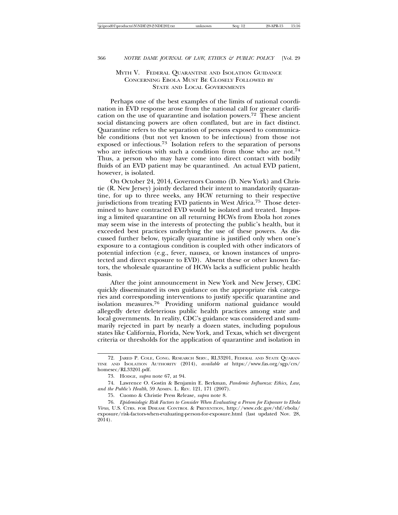# MYTH V. FEDERAL QUARANTINE AND ISOLATION GUIDANCE CONCERNING EBOLA MUST BE CLOSELY FOLLOWED BY STATE AND LOCAL GOVERNMENTS

Perhaps one of the best examples of the limits of national coordination in EVD response arose from the national call for greater clarification on the use of quarantine and isolation powers.<sup>72</sup> These ancient social distancing powers are often conflated, but are in fact distinct. Quarantine refers to the separation of persons exposed to communicable conditions (but not yet known to be infectious) from those not exposed or infectious.<sup>73</sup> Isolation refers to the separation of persons who are infectious with such a condition from those who are not.<sup>74</sup> Thus, a person who may have come into direct contact with bodily fluids of an EVD patient may be quarantined. An actual EVD patient, however, is isolated.

On October 24, 2014, Governors Cuomo (D. New York) and Christie (R. New Jersey) jointly declared their intent to mandatorily quarantine, for up to three weeks, any HCW returning to their respective jurisdictions from treating EVD patients in West Africa.<sup>75</sup> Those determined to have contracted EVD would be isolated and treated. Imposing a limited quarantine on all returning HCWs from Ebola hot zones may seem wise in the interests of protecting the public's health, but it exceeded best practices underlying the use of these powers. As discussed further below, typically quarantine is justified only when one's exposure to a contagious condition is coupled with other indicators of potential infection (e.g., fever, nausea, or known instances of unprotected and direct exposure to EVD). Absent these or other known factors, the wholesale quarantine of HCWs lacks a sufficient public health basis.

After the joint announcement in New York and New Jersey, CDC quickly disseminated its own guidance on the appropriate risk categories and corresponding interventions to justify specific quarantine and isolation measures.76 Providing uniform national guidance would allegedly deter deleterious public health practices among state and local governments. In reality, CDC's guidance was considered and summarily rejected in part by nearly a dozen states, including populous states like California, Florida, New York, and Texas, which set divergent criteria or thresholds for the application of quarantine and isolation in

<sup>72.</sup> JARED P. COLE, CONG. RESEARCH SERV., RL33201, FEDERAL AND STATE QUARAN-TINE AND ISOLATION AUTHORITY (2014), *available at* https://www.fas.org/sgp/crs/ homesec/RL33201.pdf.

<sup>73.</sup> HODGE, *supra* note 67, at 94.

<sup>74.</sup> Lawrence O. Gostin & Benjamin E. Berkman, *Pandemic Influenza: Ethics, Law, and the Public's Health*, 59 ADMIN. L. REV. 121, 171 (2007).

<sup>75.</sup> Cuomo & Christie Press Release, *supra* note 8.

<sup>76.</sup> *Epidemiologic Risk Factors to Consider When Evaluating a Person for Exposure to Ebola Virus*, U.S. CTRS. FOR DISEASE CONTROL & PREVENTION, http://www.cdc.gov/vhf/ebola/ exposure/risk-factors-when-evaluating-person-for-exposure.html (last updated Nov. 28, 2014).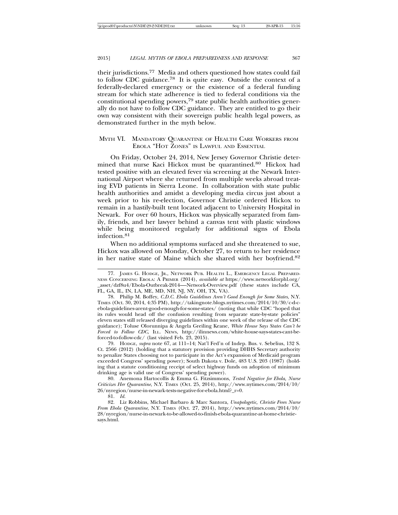their jurisdictions.77 Media and others questioned how states could fail to follow CDC guidance.<sup>78</sup> It is quite easy. Outside the context of a federally-declared emergency or the existence of a federal funding stream for which state adherence is tied to federal conditions via the constitutional spending powers,79 state public health authorities generally do not have to follow CDC guidance. They are entitled to go their own way consistent with their sovereign public health legal powers, as demonstrated further in the myth below.

# MYTH VI. MANDATORY QUARANTINE OF HEALTH CARE WORKERS FROM EBOLA "HOT ZONES" IS LAWFUL AND ESSENTIAL

On Friday, October 24, 2014, New Jersey Governor Christie determined that nurse Kaci Hickox must be quarantined.80 Hickox had tested positive with an elevated fever via screening at the Newark International Airport where she returned from multiple weeks abroad treating EVD patients in Sierra Leone. In collaboration with state public health authorities and amidst a developing media circus just about a week prior to his re-election, Governor Christie ordered Hickox to remain in a hastily-built tent located adjacent to University Hospital in Newark. For over 60 hours, Hickox was physically separated from family, friends, and her lawyer behind a canvas tent with plastic windows while being monitored regularly for additional signs of Ebola infection.<sup>81</sup>

When no additional symptoms surfaced and she threatened to sue, Hickox was allowed on Monday, October 27, to return to her residence in her native state of Maine which she shared with her boyfriend.<sup>82</sup>

81. *Id.*

<sup>77.</sup> JAMES G. HODGE, JR., NETWORK PUB. HEALTH L., EMERGENCY LEGAL PREPARED-NESS CONCERNING EBOLA: A PRIMER (2014), *available at* https://www.networkforphl.org/ \_asset/dzf8u4/Ebola-Outbreak-2014—-Network-Overview.pdf (these states include CA, FL, GA, IL, IN, LA, ME, MD, NH, NJ, NY, OH, TX, VA).

<sup>78.</sup> Philip M. Boffey, *C.D.C. Ebola Guidelines Aren't Good Enough for Some States*, N.Y. TIMES (Oct. 30, 2014, 4:35 PM), http://takingnote.blogs.nytimes.com/2014/10/30/c-d-cebola-guidelines-arent-good-enough-for-some-states/ (noting that while CDC "hoped that its rules would head off the confusion resulting from separate state-by-state policies" eleven states still released diverging guidelines within one week of the release of the CDC guidance); Toluse Olorunnipa & Angela Greiling Keane, *White House Says States Can't be Forced to Follow CDC*, ILL. NEWS, http://ilinnews.com/white-house-says-states-cant-beforced-to-follow-cdc/ (last visited Feb. 23, 2015).

<sup>79.</sup> HODGE, *supra* note 67, at 111–14; Nat'l Fed'n of Indep. Bus. v. Sebelius, 132 S. Ct. 2566 (2012) (holding that a statutory provision providing DHHS Secretary authority to penalize States choosing not to participate in the Act's expansion of Medicaid program exceeded Congress' spending power); South Dakota v. Dole, 483 U.S. 203 (1987) (holding that a statute conditioning receipt of select highway funds on adoption of minimum drinking age is valid use of Congress' spending power).

<sup>80.</sup> Anemona Hartocollis & Emma G. Fitzsimmons, *Tested Negative for Ebola, Nurse Criticizes Her Quarantine*, N.Y. TIMES (Oct. 25, 2014), http://www.nytimes.com/2014/10/ 26/nyregion/nurse-in-newark-tests-negative-for-ebola.html?\_r=0.

<sup>82.</sup> Liz Robbins, Michael Barbaro & Marc Santora, *Unapologetic, Christie Frees Nurse From Ebola Quarantine*, N.Y. TIMES (Oct. 27, 2014), http://www.nytimes.com/2014/10/ 28/nyregion/nurse-in-newark-to-be-allowed-to-finish-ebola-quarantine-at-home-christiesays.html.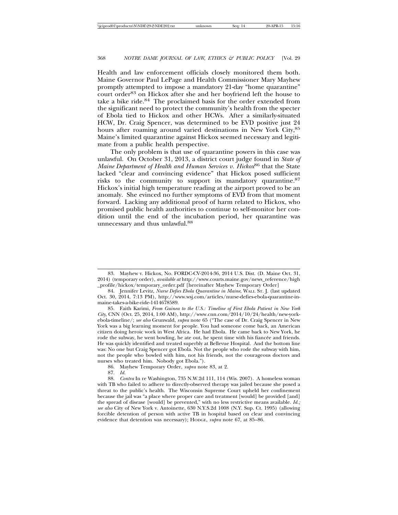Health and law enforcement officials closely monitored them both. Maine Governor Paul LePage and Health Commissioner Mary Mayhew promptly attempted to impose a mandatory 21-day "home quarantine" court order<sup>83</sup> on Hickox after she and her boyfriend left the house to take a bike ride.<sup>84</sup> The proclaimed basis for the order extended from the significant need to protect the community's health from the specter of Ebola tied to Hickox and other HCWs. After a similarly-situated HCW, Dr. Craig Spencer, was determined to be EVD positive just 24 hours after roaming around varied destinations in New York City,<sup>85</sup> Maine's limited quarantine against Hickox seemed necessary and legitimate from a public health perspective.

The only problem is that use of quarantine powers in this case was unlawful. On October 31, 2013, a district court judge found in *State of Maine Department of Health and Human Services v. Hickox*86 that the State lacked "clear and convincing evidence" that Hickox posed sufficient risks to the community to support its mandatory quarantine.<sup>87</sup> Hickox's initial high temperature reading at the airport proved to be an anomaly. She evinced no further symptoms of EVD from that moment forward. Lacking any additional proof of harm related to Hickox, who promised public health authorities to continue to self-monitor her condition until the end of the incubation period, her quarantine was unnecessary and thus unlawful.<sup>88</sup>

86. Mayhew Temporary Order, *supra* note 83, at 2.

<sup>83.</sup> Mayhew v. Hickox, No. FORDC-CV-2014-36, 2014 U.S. Dist. (D. Maine Oct. 31, 2014) (temporary order), *available at* http://www.courts.maine.gov/news\_reference/high \_profile/hickox/temporary\_order.pdf [hereinafter Mayhew Temporary Order]

<sup>84.</sup> Jennifer Levitz, *Nurse Defies Ebola Quarantine in Maine*, WALL ST. J. (last updated Oct. 30, 2014, 7:13 PM), http://www.wsj.com/articles/nurse-defies-ebola-quarantine-inmaine-takes-a-bike-ride-1414678589.

<sup>85.</sup> Faith Karimi, *From Guinea to the U.S.: Timeline of First Ebola Patient in New York City*, CNN (Oct. 25, 2014, 1:00 AM), http://www.cnn.com/2014/10/24/health/new-yorkebola-timeline/; *see also* Grunwald, *supra* note 65 ("The case of Dr. Craig Spencer in New York was a big learning moment for people. You had someone come back, an American citizen doing heroic work in West Africa. He had Ebola. He came back to New York, he rode the subway, he went bowling, he ate out, he spent time with his fiancée and friends. He was quickly identified and treated superbly at Bellevue Hospital. And the bottom line was: No one but Craig Spencer got Ebola. Not the people who rode the subway with him, not the people who bowled with him, not his friends, not the courageous doctors and nurses who treated him. Nobody got Ebola.").

<sup>87.</sup> *Id.*

<sup>88.</sup> *Contra* In re Washington, 735 N.W.2d 111, 114 (Wis. 2007). A homeless woman with TB who failed to adhere to directly-observed therapy was jailed because she posed a threat to the public's health. The Wisconsin Supreme Court upheld her confinement because the jail was "a place where proper care and treatment [would] be provided [and] the spread of disease [would] be prevented," with no less restrictive means available. *Id.; see also* City of New York v. Antoinette, 630 N.Y.S.2d 1008 (N.Y. Sup. Ct. 1995) (allowing forcible detention of person with active TB in hospital based on clear and convincing evidence that detention was necessary); HODGE, *supra* note 67, at 85–86.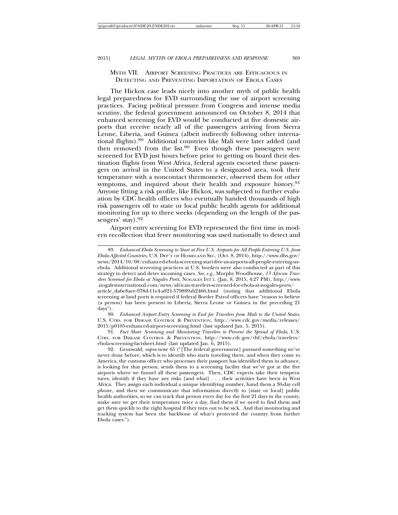# MYTH VII. AIRPORT SCREENING PRACTICES ARE EFFICACIOUS IN DETECTING AND PREVENTING IMPORTATION OF EBOLA CASES

The Hickox case leads nicely into another myth of public health legal preparedness for EVD surrounding the use of airport screening practices. Facing political pressure from Congress and intense media scrutiny, the federal government announced on October 8, 2014 that enhanced screening for EVD would be conducted at five domestic airports that receive nearly all of the passengers arriving from Sierra Leone, Liberia, and Guinea (albeit indirectly following other international flights).89 Additional countries like Mali were later added (and then removed) from the list. $90$  Even though these passengers were screened for EVD just hours before prior to getting on board their destination flights from West Africa, federal agents escorted these passengers on arrival in the United States to a designated area, took their temperature with a noncontact thermometer, observed them for other symptoms, and inquired about their health and exposure history.<sup>91</sup> Anyone fitting a risk profile, like Hickox, was subjected to further evaluation by CDC health officers who eventually handed thousands of high risk passengers off to state or local public health agents for additional monitoring for up to three weeks (depending on the length of the passengers' stay).<sup>92</sup>

Airport entry screening for EVD represented the first time in modern recollection that fever monitoring was used nationally to detect and

90. *Enhanced Airport Entry Screening to End for Travelers from Mali to the United States*, U.S. CTRS. FOR DISEASE CONTROL & PREVENTION, http://www.cdc.gov/media/releases/ 2015/p0105-enhanced-airport-screening.html (last updated Jan. 5, 2015).

91. *Fact Sheet: Screening and Monitoring Travelers to Prevent the Spread of Ebola*, U.S. CTRS. FOR DISEASE CONTROL & PREVENTION, http://www.cdc.gov/vhf/ebola/travelers/ ebola-screening-factsheet.html (last updated Jan. 6, 2015).

92. Grunwald, *supra* note 65 ("[The federal government] pursued something we've never done before, which is to identify who starts traveling there, and when they come to America, the customs officer who processes their passport has identified them in advance, is looking for that person, sends them to a screening facility that we've got at the five airports where we funnel all these passengers. Then, CDC experts take their temperatures, identify if they have any risks [and what] . . . their activities have been in West Africa. They assign each individual a unique identifying number, hand them a 30-day cell phone, and then we communicate that information directly to [state or local] public health authorities, so we can track that person every day for the first 21 days in the county, make sure we get their temperature twice a day, find them if we need to find them and get them quickly to the right hospital if they turn out to be sick. And that monitoring and tracking system has been the backbone of what's protected the country from further Ebola cases.").

<sup>89.</sup> *Enhanced Ebola Screening to Start at Five U.S. Airports for All People Entering U.S. from Ebola-Affected Countries*, U.S. DEP'T OF HOMELAND SEC. (Oct. 8, 2014), http://www.dhs.gov/ news/2014/10/08/enhanced-ebola-screening-start-five-us-airports-all-people-entering-usebola. Additional screening practices at U.S. borders were also conducted as part of this strategy to detect and deter incoming cases. *See, e.g.*, Murphy Woodhouse, *13 African Travelers Screened for Ebola at Nogales Ports*, NOGALES INT'L (Jan. 8, 2015, 4:27 PM), http://www .nogalesinternational.com/news/african-travelers-screened-for-ebola-at-nogales-ports/ article\_da6e8aee-978d-11e4-a821-579889ab2466.html (noting that additional Ebola screening at land ports is required if federal Border Patrol officers have "reason to believe (a person) has been present in Liberia, Sierra Leone or Guinea in the preceding 21 days").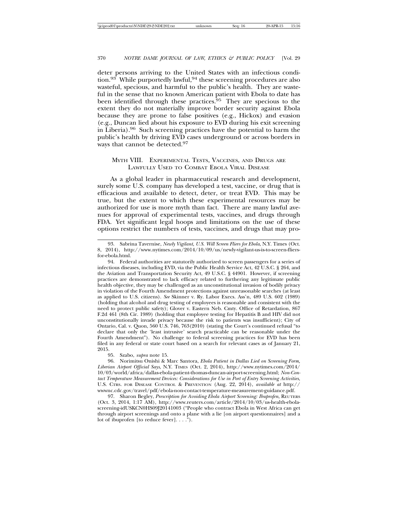deter persons arriving to the United States with an infectious condition.<sup>93</sup> While purportedly lawful,<sup>94</sup> these screening procedures are also wasteful, specious, and harmful to the public's health. They are wasteful in the sense that no known American patient with Ebola to date has been identified through these practices.<sup>95</sup> They are specious to the extent they do not materially improve border security against Ebola because they are prone to false positives (e.g., Hickox) and evasion (e.g., Duncan lied about his exposure to EVD during his exit screening in Liberia).96 Such screening practices have the potential to harm the public's health by driving EVD cases underground or across borders in ways that cannot be detected.<sup>97</sup>

# MYTH VIII. EXPERIMENTAL TESTS, VACCINES, AND DRUGS ARE LAWFULLY USED TO COMBAT EBOLA VIRAL DISEASE

As a global leader in pharmaceutical research and development, surely some U.S. company has developed a test, vaccine, or drug that is efficacious and available to detect, deter, or treat EVD. This may be true, but the extent to which these experimental resources may be authorized for use is more myth than fact. There are many lawful avenues for approval of experimental tests, vaccines, and drugs through FDA. Yet significant legal hoops and limitations on the use of these options restrict the numbers of tests, vaccines, and drugs that may pro-

95. Szabo, *supra* note 15.

96. Norimitsu Onishi & Marc Santora, *Ebola Patient in Dallas Lied on Screening Form, Liberian Airport Official Says*, N.Y. TIMES (Oct. 2, 2014), http://www.nytimes.com/2014/ 10/03/world/africa/dallas-ebola-patient-thomas-duncan-airport-screening.html; *Non-Contact Temperature Measurement Devices: Considerations for Use in Port of Entry Screening Activities*, U.S. CTRS. FOR DISEASE CONTROL & PREVENTION (Aug. 22, 2014), *available at* http:// wwwnc.cdc.gov/travel/pdf/ebola-non-contact-temperature-measurement-guidance.pdf.

97. Sharon Begley, *Prescription for Avoiding Ebola Airport Screening: Ibuprofen*, REUTERS (Oct. 3, 2014, 1:17 AM), http://www.reuters.com/article/2014/10/03/us-health-ebolascreening-idUSKCN0HS09J20141003 ("People who contract Ebola in West Africa can get through airport screenings and onto a plane with a lie [on airport questionnaires] and a lot of ibuprofen [to reduce fever]. . . .").

<sup>93.</sup> Sabrina Tavernise, *Newly Vigilant, U.S. Will Screen Fliers for Ebola*, N.Y. Times (Oct. 8, 2014), http://www.nytimes.com/2014/10/09/us/newly-vigilant-us-is-to-screen-fliersfor-ebola.html.

<sup>94.</sup> Federal authorities are statutorily authorized to screen passengers for a series of infectious diseases, including EVD, via the Public Health Service Act, 42 U.S.C. § 264, and the Aviation and Transportation Security Act, 49 U.S.C. § 44901. However, if screening practices are demonstrated to lack efficacy related to furthering any legitimate public health objective, they may be challenged as an unconstitutional invasion of bodily privacy in violation of the Fourth Amendment protections against unreasonable searches (at least as applied to U.S. citizens). *See* Skinner v. Ry. Labor Execs. Ass'n, 489 U.S. 602 (1989) (holding that alcohol and drug testing of employees is reasonable and consistent with the need to protect public safety); Glover v. Eastern Neb. Cmty. Office of Retardation, 867 F.2d 461 (8th Cir. 1989) (holding that employee testing for Hepatitis B and HIV did not unconstitutionally invade privacy because the risk to patients was insufficient); City of Ontario, Cal. v. Quon, 560 U.S. 746, 763(2010) (stating the Court's continued refusal "to declare that only the 'least intrusive' search practicable can be reasonable under the Fourth Amendment"). No challenge to federal screening practices for EVD has been filed in any federal or state court based on a search for relevant cases as of January 21, 2015.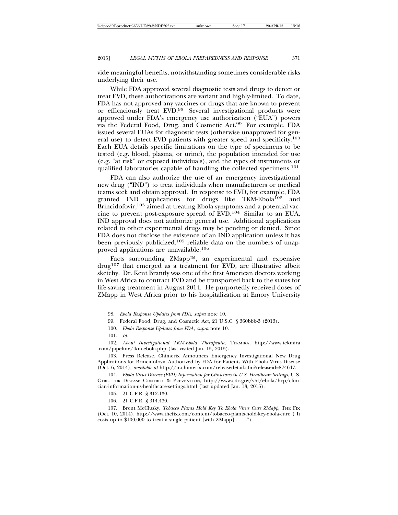vide meaningful benefits, notwithstanding sometimes considerable risks underlying their use.

While FDA approved several diagnostic tests and drugs to detect or treat EVD, these authorizations are variant and highly-limited. To date, FDA has not approved any vaccines or drugs that are known to prevent or efficaciously treat EVD.<sup>98</sup> Several investigational products were approved under FDA's emergency use authorization ("EUA") powers via the Federal Food, Drug, and Cosmetic Act.99 For example, FDA issued several EUAs for diagnostic tests (otherwise unapproved for general use) to detect EVD patients with greater speed and specificity.<sup>100</sup> Each EUA details specific limitations on the type of specimens to be tested (e.g. blood, plasma, or urine), the population intended for use (e.g. "at risk" or exposed individuals), and the types of instruments or qualified laboratories capable of handling the collected specimens.<sup>101</sup>

FDA can also authorize the use of an emergency investigational new drug ("IND") to treat individuals when manufacturers or medical teams seek and obtain approval. In response to EVD, for example, FDA granted IND applications for drugs like TKM-Ebola<sup>102</sup> and Brincidofovir,  $103$  aimed at treating Ebola symptoms and a potential vaccine to prevent post-exposure spread of EVD.104 Similar to an EUA, IND approval does not authorize general use. Additional applications related to other experimental drugs may be pending or denied. Since FDA does not disclose the existence of an IND application unless it has been previously publicized,<sup>105</sup> reliable data on the numbers of unapproved applications are unavailable.<sup>106</sup>

Facts surrounding ZMapp™, an experimental and expensive  $d\text{rug}^{107}$  that emerged as a treatment for EVD, are illustrative albeit sketchy. Dr. Kent Brantly was one of the first American doctors working in West Africa to contract EVD and be transported back to the states for life-saving treatment in August 2014. He purportedly received doses of ZMapp in West Africa prior to his hospitalization at Emory University

101. *Id.*

102. *About Investigational TKM-Ebola Therapeutic*, TEKMIRA, http://www.tekmira .com/pipeline/tkm-ebola.php (last visited Jan. 15, 2015).

103. Press Release, Chimerix Announces Emergency Investigational New Drug Applications for Brincidofovir Authorized by FDA for Patients With Ebola Virus Disease (Oct. 6, 2014), *available at* http://ir.chimerix.com/releasedetail.cfm?releaseid=874647.

104. *Ebola Virus Disease (EVD) Information for Clinicians in U.S. Healthcare Settings*, U.S. CTRS. FOR DISEASE CONTROL & PREVENTION, http://www.cdc.gov/vhf/ebola/hcp/clinician-information-us-healthcare-settings.html (last updated Jan. 13, 2015).

105. 21 C.F.R. § 312.130.

106. 21 C.F.R. § 314.430.

107. Brent McClusky, *Tobacco Plants Hold Key To Ebola Virus Cure ZMapp*, THE FIX (Oct. 10, 2014), http://www.thefix.com/content/tobacco-plants-hold-key-ebola-cure ("It costs up to \$100,000 to treat a single patient [with ZMapp] . . . .").

<sup>98.</sup> *Ebola Response Updates from FDA*, *supra* note 10.

<sup>99.</sup> Federal Food, Drug, and Cosmetic Act, 21 U.S.C. § 360bbb-3 (2013).

<sup>100.</sup> *Ebola Response Updates from FDA*, *supra* note 10.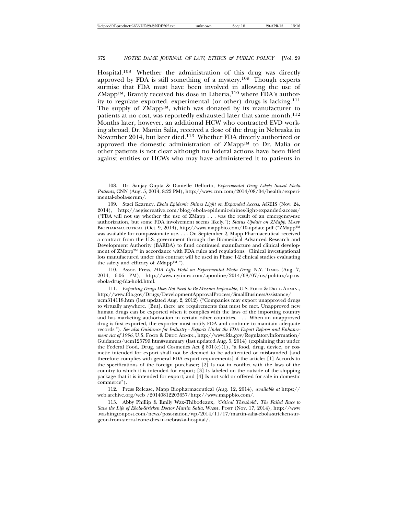Hospital.108 Whether the administration of this drug was directly approved by FDA is still something of a mystery.109 Though experts surmise that FDA must have been involved in allowing the use of  $ZMapp^{TM}$ , Brantly received his dose in Liberia,<sup>110</sup> where FDA's authority to regulate exported, experimental (or other) drugs is lacking.<sup>111</sup> The supply of ZMapp™, which was donated by its manufacturer to patients at no cost, was reportedly exhausted later that same month.<sup>112</sup> Months later, however, an additional HCW who contracted EVD working abroad, Dr. Martin Salia, received a dose of the drug in Nebraska in November 2014, but later died.113 Whether FDA directly authorized or approved the domestic administration of ZMapp™ to Dr. Malia or other patients is not clear although no federal actions have been filed against entities or HCWs who may have administered it to patients in

110. Assoc. Press, *FDA Lifts Hold on Experimental Ebola Drug*, N.Y. TIMES (Aug. 7, 2014, 6:06 PM), http://www.nytimes.com/aponline/2014/08/07/us/politics/ap-usebola-drug-fda-hold.html.

111. *Exporting Drugs Does Not Need to Be Mission Impossible*, U.S. FOOD & DRUG ADMIN., http://www.fda.gov/Drugs/DevelopmentApprovalProcess/SmallBusinessAssistance/

ucm314118.htm (last updated Aug. 2, 2012) ("Companies may export unapproved drugs to virtually anywhere. [But], there are requirements that must be met. Unapproved new human drugs can be exported when it complies with the laws of the importing country and has marketing authorization in certain other countries. . . . When an unapproved drug is first exported, the exporter must notify FDA and continue to maintain adequate records."). *See also Guidance for Industry - Exports Under the FDA Export Reform and Enhancement Act of 1996*, U.S. FOOD & DRUG ADMIN., http://www.fda.gov/RegulatoryInformation/ Guidances/ucm125799.htm#summary (last updated Aug. 5, 2014) (explaining that under the Federal Food, Drug, and Cosmetics Act § 801(e)(1), "a food, drug, device, or cosmetic intended for export shall not be deemed to be adulterated or misbranded [and therefore complies with general FDA export requirements] if the article: [1] Accords to the specifications of the foreign purchaser; [2] Is not in conflict with the laws of the country to which it is intended for export; [3] Is labeled on the outside of the shipping package that it is intended for export; and [4] Is not sold or offered for sale in domestic commerce").

112. Press Release, Mapp Biopharmaceutical (Aug. 12, 2014), *available at* https:// web.archive.org/web /20140812203657/http://www.mappbio.com/.

113. Abby Phillip & Emily Wax-Thibodeaux, *'Critical Threshold': The Failed Race to Save the Life of Ebola-Stricken Doctor Martin Salia*, WASH. POST (Nov. 17, 2014), http://www .washingtonpost.com/news/post-nation/wp/2014/11/17/martin-salia-ebola-stricken-surgeon-from-sierra-leone-dies-in-nebraska-hospital/.

<sup>108.</sup> Dr. Sanjay Gupta & Danielle Dellorto, *Experimental Drug Likely Saved Ebola Patients*, CNN (Aug. 5, 2014, 8:22 PM), http://www.cnn.com/2014/08/04/health/experimental-ebola-serum/.

<sup>109.</sup> Staci Kearney, *Ebola Epidemic Shines Light on Expanded Access*, AGEIS (Nov. 24, 2014), http://aegiscreative.com/blog/ebola-epidemic-shines-light-expanded-access/ ("FDA will not say whether the use of ZMapp . . . was the result of an emergency-use authorization, but some FDA involvement seems likely."); *Status Update on ZMapp*, MAPP BIOPHARMACEUTICAL (Oct. 9, 2014), http://www.mappbio.com/10-update.pdf ("ZMapp™ was available for compassionate use. . . . On September 2, Mapp Pharmaceutical received a contract from the U.S. government through the Biomedical Advanced Research and Development Authority (BARDA) to fund continued manufacture and clinical development of ZMapp™ in accordance with FDA rules and regulations. Clinical investigational lots manufactured under this contract will be used in Phase 1-2 clinical studies evaluating the safety and efficacy of ZMapp™.").